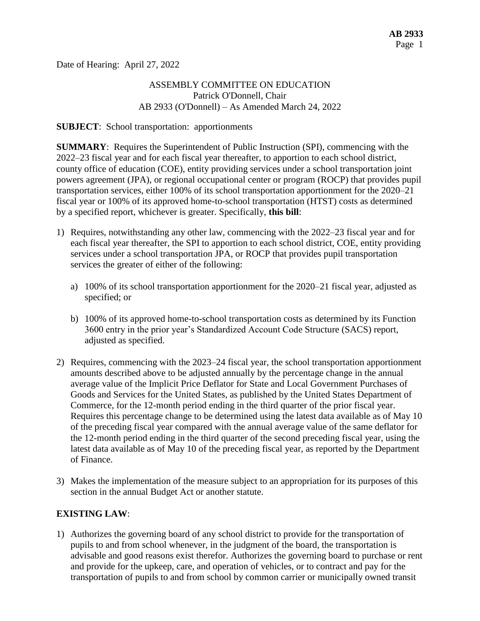Date of Hearing: April 27, 2022

# ASSEMBLY COMMITTEE ON EDUCATION Patrick O'Donnell, Chair AB 2933 (O'Donnell) – As Amended March 24, 2022

#### **SUBJECT**: School transportation: apportionments

**SUMMARY**: Requires the Superintendent of Public Instruction (SPI), commencing with the 2022–23 fiscal year and for each fiscal year thereafter, to apportion to each school district, county office of education (COE), entity providing services under a school transportation joint powers agreement (JPA), or regional occupational center or program (ROCP) that provides pupil transportation services, either 100% of its school transportation apportionment for the 2020–21 fiscal year or 100% of its approved home-to-school transportation (HTST) costs as determined by a specified report, whichever is greater. Specifically, **this bill**:

- 1) Requires, notwithstanding any other law, commencing with the 2022–23 fiscal year and for each fiscal year thereafter, the SPI to apportion to each school district, COE, entity providing services under a school transportation JPA, or ROCP that provides pupil transportation services the greater of either of the following:
	- a) 100% of its school transportation apportionment for the 2020–21 fiscal year, adjusted as specified; or
	- b) 100% of its approved home-to-school transportation costs as determined by its Function 3600 entry in the prior year's Standardized Account Code Structure (SACS) report, adjusted as specified.
- 2) Requires, commencing with the 2023–24 fiscal year, the school transportation apportionment amounts described above to be adjusted annually by the percentage change in the annual average value of the Implicit Price Deflator for State and Local Government Purchases of Goods and Services for the United States, as published by the United States Department of Commerce, for the 12-month period ending in the third quarter of the prior fiscal year. Requires this percentage change to be determined using the latest data available as of May 10 of the preceding fiscal year compared with the annual average value of the same deflator for the 12-month period ending in the third quarter of the second preceding fiscal year, using the latest data available as of May 10 of the preceding fiscal year, as reported by the Department of Finance.
- 3) Makes the implementation of the measure subject to an appropriation for its purposes of this section in the annual Budget Act or another statute.

### **EXISTING LAW**:

1) Authorizes the governing board of any school district to provide for the transportation of pupils to and from school whenever, in the judgment of the board, the transportation is advisable and good reasons exist therefor. Authorizes the governing board to purchase or rent and provide for the upkeep, care, and operation of vehicles, or to contract and pay for the transportation of pupils to and from school by common carrier or municipally owned transit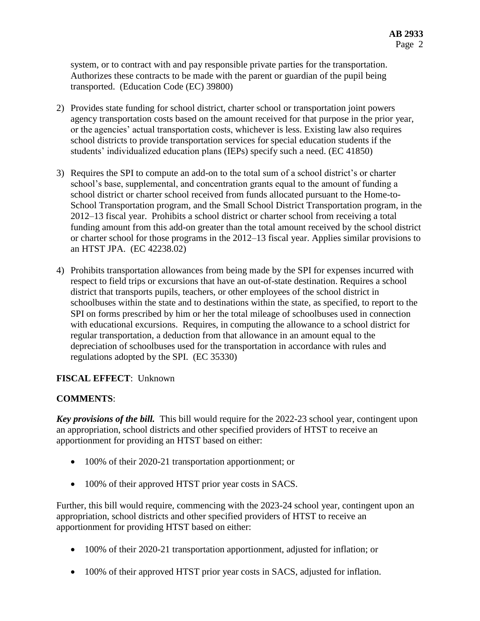system, or to contract with and pay responsible private parties for the transportation. Authorizes these contracts to be made with the parent or guardian of the pupil being transported. (Education Code (EC) 39800)

- 2) Provides state funding for school district, charter school or transportation joint powers agency transportation costs based on the amount received for that purpose in the prior year, or the agencies' actual transportation costs, whichever is less. Existing law also requires school districts to provide transportation services for special education students if the students' individualized education plans (IEPs) specify such a need. (EC 41850)
- 3) Requires the SPI to compute an add-on to the total sum of a school district's or charter school's base, supplemental, and concentration grants equal to the amount of funding a school district or charter school received from funds allocated pursuant to the Home-to-School Transportation program, and the Small School District Transportation program, in the 2012–13 fiscal year. Prohibits a school district or charter school from receiving a total funding amount from this add-on greater than the total amount received by the school district or charter school for those programs in the 2012–13 fiscal year. Applies similar provisions to an HTST JPA. (EC 42238.02)
- 4) Prohibits transportation allowances from being made by the SPI for expenses incurred with respect to field trips or excursions that have an out-of-state destination. Requires a school district that transports pupils, teachers, or other employees of the school district in schoolbuses within the state and to destinations within the state, as specified, to report to the SPI on forms prescribed by him or her the total mileage of schoolbuses used in connection with educational excursions. Requires, in computing the allowance to a school district for regular transportation, a deduction from that allowance in an amount equal to the depreciation of schoolbuses used for the transportation in accordance with rules and regulations adopted by the SPI. (EC 35330)

# **FISCAL EFFECT**: Unknown

### **COMMENTS**:

*Key provisions of the bill.* This bill would require for the 2022-23 school year, contingent upon an appropriation, school districts and other specified providers of HTST to receive an apportionment for providing an HTST based on either:

- 100% of their 2020-21 transportation apportionment; or
- 100% of their approved HTST prior year costs in SACS.

Further, this bill would require, commencing with the 2023-24 school year, contingent upon an appropriation, school districts and other specified providers of HTST to receive an apportionment for providing HTST based on either:

- 100% of their 2020-21 transportation apportionment, adjusted for inflation; or
- 100% of their approved HTST prior year costs in SACS, adjusted for inflation.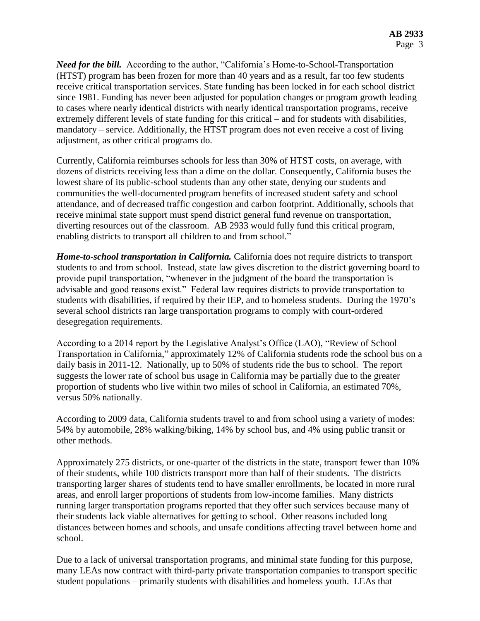*Need for the bill.* According to the author, "California's Home-to-School-Transportation (HTST) program has been frozen for more than 40 years and as a result, far too few students receive critical transportation services. State funding has been locked in for each school district since 1981. Funding has never been adjusted for population changes or program growth leading to cases where nearly identical districts with nearly identical transportation programs, receive extremely different levels of state funding for this critical – and for students with disabilities, mandatory – service. Additionally, the HTST program does not even receive a cost of living adjustment, as other critical programs do.

Currently, California reimburses schools for less than 30% of HTST costs, on average, with dozens of districts receiving less than a dime on the dollar. Consequently, California buses the lowest share of its public-school students than any other state, denying our students and communities the well-documented program benefits of increased student safety and school attendance, and of decreased traffic congestion and carbon footprint. Additionally, schools that receive minimal state support must spend district general fund revenue on transportation, diverting resources out of the classroom. AB 2933 would fully fund this critical program, enabling districts to transport all children to and from school."

*Home-to-school transportation in California.* California does not require districts to transport students to and from school. Instead, state law gives discretion to the district governing board to provide pupil transportation, "whenever in the judgment of the board the transportation is advisable and good reasons exist." Federal law requires districts to provide transportation to students with disabilities, if required by their IEP, and to homeless students. During the 1970's several school districts ran large transportation programs to comply with court-ordered desegregation requirements.

According to a 2014 report by the Legislative Analyst's Office (LAO), "Review of School Transportation in California," approximately 12% of California students rode the school bus on a daily basis in 2011-12. Nationally, up to 50% of students ride the bus to school. The report suggests the lower rate of school bus usage in California may be partially due to the greater proportion of students who live within two miles of school in California, an estimated 70%, versus 50% nationally.

According to 2009 data, California students travel to and from school using a variety of modes: 54% by automobile, 28% walking/biking, 14% by school bus, and 4% using public transit or other methods.

Approximately 275 districts, or one-quarter of the districts in the state, transport fewer than 10% of their students, while 100 districts transport more than half of their students. The districts transporting larger shares of students tend to have smaller enrollments, be located in more rural areas, and enroll larger proportions of students from low-income families. Many districts running larger transportation programs reported that they offer such services because many of their students lack viable alternatives for getting to school. Other reasons included long distances between homes and schools, and unsafe conditions affecting travel between home and school.

Due to a lack of universal transportation programs, and minimal state funding for this purpose, many LEAs now contract with third-party private transportation companies to transport specific student populations – primarily students with disabilities and homeless youth. LEAs that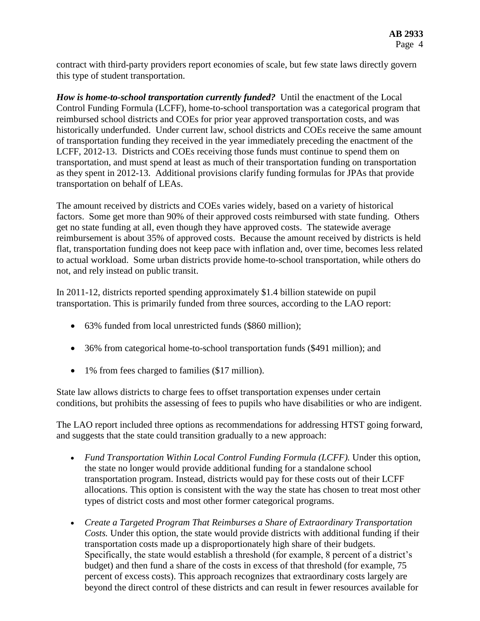contract with third-party providers report economies of scale, but few state laws directly govern this type of student transportation.

*How is home-to-school transportation currently funded?* Until the enactment of the Local Control Funding Formula (LCFF), home-to-school transportation was a categorical program that reimbursed school districts and COEs for prior year approved transportation costs, and was historically underfunded. Under current law, school districts and COEs receive the same amount of transportation funding they received in the year immediately preceding the enactment of the LCFF, 2012-13. Districts and COEs receiving those funds must continue to spend them on transportation, and must spend at least as much of their transportation funding on transportation as they spent in 2012-13. Additional provisions clarify funding formulas for JPAs that provide transportation on behalf of LEAs.

The amount received by districts and COEs varies widely, based on a variety of historical factors. Some get more than 90% of their approved costs reimbursed with state funding. Others get no state funding at all, even though they have approved costs. The statewide average reimbursement is about 35% of approved costs. Because the amount received by districts is held flat, transportation funding does not keep pace with inflation and, over time, becomes less related to actual workload. Some urban districts provide home-to-school transportation, while others do not, and rely instead on public transit.

In 2011-12, districts reported spending approximately \$1.4 billion statewide on pupil transportation. This is primarily funded from three sources, according to the LAO report:

- 63% funded from local unrestricted funds (\$860 million);
- 36% from categorical home-to-school transportation funds (\$491 million); and
- 1% from fees charged to families (\$17 million).

State law allows districts to charge fees to offset transportation expenses under certain conditions, but prohibits the assessing of fees to pupils who have disabilities or who are indigent.

The LAO report included three options as recommendations for addressing HTST going forward, and suggests that the state could transition gradually to a new approach:

- *Fund Transportation Within Local Control Funding Formula (LCFF).* Under this option, the state no longer would provide additional funding for a standalone school transportation program. Instead, districts would pay for these costs out of their LCFF allocations. This option is consistent with the way the state has chosen to treat most other types of district costs and most other former categorical programs.
- *Create a Targeted Program That Reimburses a Share of Extraordinary Transportation Costs.* Under this option, the state would provide districts with additional funding if their transportation costs made up a disproportionately high share of their budgets. Specifically, the state would establish a threshold (for example, 8 percent of a district's budget) and then fund a share of the costs in excess of that threshold (for example, 75 percent of excess costs). This approach recognizes that extraordinary costs largely are beyond the direct control of these districts and can result in fewer resources available for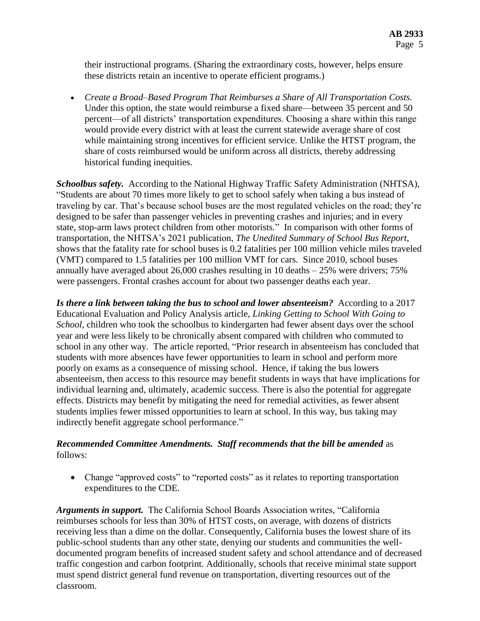their instructional programs. (Sharing the extraordinary costs, however, helps ensure these districts retain an incentive to operate efficient programs.)

 *Create a Broad–Based Program That Reimburses a Share of All Transportation Costs.* Under this option, the state would reimburse a fixed share—between 35 percent and 50 percent—of all districts' transportation expenditures. Choosing a share within this range would provide every district with at least the current statewide average share of cost while maintaining strong incentives for efficient service. Unlike the HTST program, the share of costs reimbursed would be uniform across all districts, thereby addressing historical funding inequities.

*Schoolbus safety.* According to the National Highway Traffic Safety Administration (NHTSA), "Students are about 70 times more likely to get to school safely when taking a bus instead of traveling by car. That's because school buses are the most regulated vehicles on the road; they're designed to be safer than passenger vehicles in preventing crashes and injuries; and in every state, stop-arm laws protect children from other motorists." In comparison with other forms of transportation, the NHTSA's 2021 publication, *The Unedited Summary of School Bus Report*, shows that the fatality rate for school buses is 0.2 fatalities per 100 million vehicle miles traveled (VMT) compared to 1.5 fatalities per 100 million VMT for cars. Since 2010, school buses annually have averaged about 26,000 crashes resulting in 10 deaths – 25% were drivers; 75% were passengers. Frontal crashes account for about two passenger deaths each year.

*Is there a link between taking the bus to school and lower absenteeism?* According to a 2017 Educational Evaluation and Policy Analysis article, *Linking Getting to School With Going to School*, children who took the schoolbus to kindergarten had fewer absent days over the school year and were less likely to be chronically absent compared with children who commuted to school in any other way. The article reported, "Prior research in absenteeism has concluded that students with more absences have fewer opportunities to learn in school and perform more poorly on exams as a consequence of missing school. Hence, if taking the bus lowers absenteeism, then access to this resource may benefit students in ways that have implications for individual learning and, ultimately, academic success. There is also the potential for aggregate effects. Districts may benefit by mitigating the need for remedial activities, as fewer absent students implies fewer missed opportunities to learn at school. In this way, bus taking may indirectly benefit aggregate school performance."

# *Recommended Committee Amendments. Staff recommends that the bill be amended* as follows:

• Change "approved costs" to "reported costs" as it relates to reporting transportation expenditures to the CDE.

*Arguments in support.* The California School Boards Association writes, "California reimburses schools for less than 30% of HTST costs, on average, with dozens of districts receiving less than a dime on the dollar. Consequently, California buses the lowest share of its public-school students than any other state, denying our students and communities the welldocumented program benefits of increased student safety and school attendance and of decreased traffic congestion and carbon footprint. Additionally, schools that receive minimal state support must spend district general fund revenue on transportation, diverting resources out of the classroom.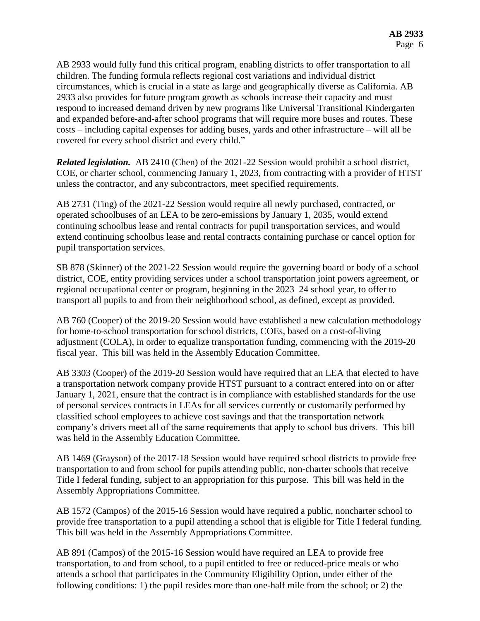AB 2933 would fully fund this critical program, enabling districts to offer transportation to all children. The funding formula reflects regional cost variations and individual district circumstances, which is crucial in a state as large and geographically diverse as California. AB 2933 also provides for future program growth as schools increase their capacity and must respond to increased demand driven by new programs like Universal Transitional Kindergarten and expanded before-and-after school programs that will require more buses and routes. These costs – including capital expenses for adding buses, yards and other infrastructure – will all be covered for every school district and every child."

*Related legislation.* AB 2410 (Chen) of the 2021-22 Session would prohibit a school district, COE, or charter school, commencing January 1, 2023, from contracting with a provider of HTST unless the contractor, and any subcontractors, meet specified requirements.

AB 2731 (Ting) of the 2021-22 Session would require all newly purchased, contracted, or operated schoolbuses of an LEA to be zero-emissions by January 1, 2035, would extend continuing schoolbus lease and rental contracts for pupil transportation services, and would extend continuing schoolbus lease and rental contracts containing purchase or cancel option for pupil transportation services.

SB 878 (Skinner) of the 2021-22 Session would require the governing board or body of a school district, COE, entity providing services under a school transportation joint powers agreement, or regional occupational center or program, beginning in the 2023–24 school year, to offer to transport all pupils to and from their neighborhood school, as defined, except as provided.

AB 760 (Cooper) of the 2019-20 Session would have established a new calculation methodology for home-to-school transportation for school districts, COEs, based on a cost-of-living adjustment (COLA), in order to equalize transportation funding, commencing with the 2019-20 fiscal year. This bill was held in the Assembly Education Committee.

AB 3303 (Cooper) of the 2019-20 Session would have required that an LEA that elected to have a transportation network company provide HTST pursuant to a contract entered into on or after January 1, 2021, ensure that the contract is in compliance with established standards for the use of personal services contracts in LEAs for all services currently or customarily performed by classified school employees to achieve cost savings and that the transportation network company's drivers meet all of the same requirements that apply to school bus drivers. This bill was held in the Assembly Education Committee.

AB 1469 (Grayson) of the 2017-18 Session would have required school districts to provide free transportation to and from school for pupils attending public, non-charter schools that receive Title I federal funding, subject to an appropriation for this purpose. This bill was held in the Assembly Appropriations Committee.

AB 1572 (Campos) of the 2015-16 Session would have required a public, noncharter school to provide free transportation to a pupil attending a school that is eligible for Title I federal funding. This bill was held in the Assembly Appropriations Committee.

AB 891 (Campos) of the 2015-16 Session would have required an LEA to provide free transportation, to and from school, to a pupil entitled to free or reduced-price meals or who attends a school that participates in the Community Eligibility Option, under either of the following conditions: 1) the pupil resides more than one-half mile from the school; or 2) the